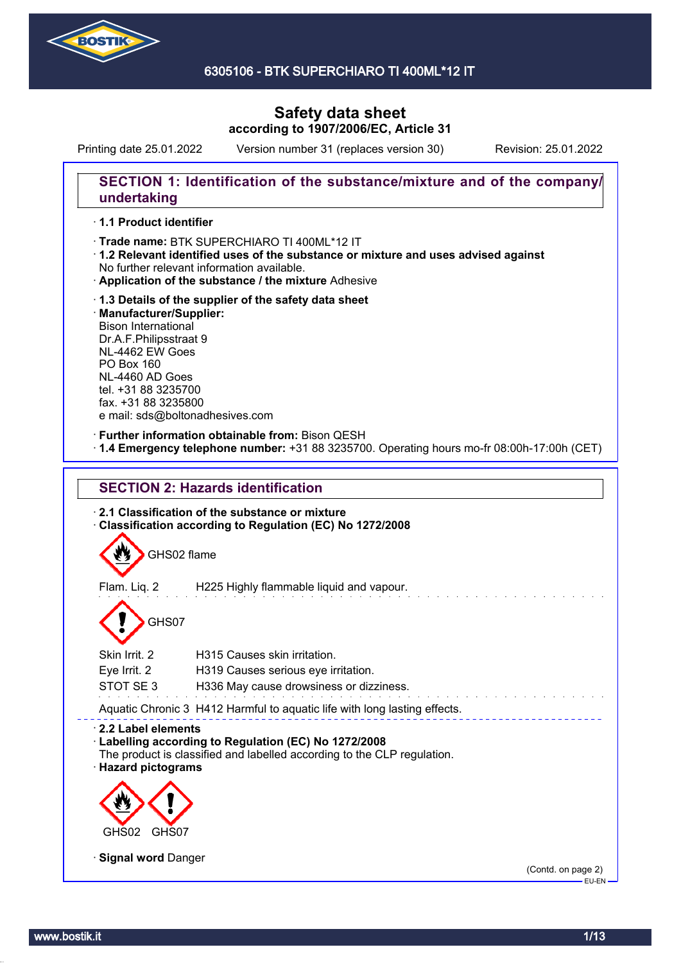

Printing date 25.01.2022 Version number 31 (replaces version 30) Revision: 25.01.2022

### **SECTION 1: Identification of the substance/mixture and of the company/ undertaking**

### · **1.1 Product identifier**

· Trade name: BTK SUPERCHIARO TI 400ML\*12 IT

- · **1.2 Relevant identified uses of the substance or mixture and uses advised against** No further relevant information available.
- · **Application of the substance / the mixture** Adhesive
- · **1.3 Details of the supplier of the safety data sheet** · **Manufacturer/Supplier:** Bison International Dr.A.F.Philipsstraat 9 NL-4462 EW Goes PO Box 160 NL-4460 AD Goes tel. +31 88 3235700 fax. +31 88 3235800 e mail: sds@boltonadhesives.com

#### · **Further information obtainable from:** Bison QESH

· **1.4 Emergency telephone number:** +31 88 3235700. Operating hours mo-fr 08:00h-17:00h (CET)



GHS07

| Skin Irrit. 2 | H315 Causes skin irritation.            |
|---------------|-----------------------------------------|
| Eye Irrit. 2  | H319 Causes serious eye irritation.     |
| STOT SE 3     | H336 May cause drowsiness or dizziness. |
|               |                                         |

Aquatic Chronic 3 H412 Harmful to aquatic life with long lasting effects.

# · **2.2 Label elements**

# · **Labelling according to Regulation (EC) No 1272/2008**

The product is classified and labelled according to the CLP regulation. · **Hazard pictograms**



· **Signal word** Danger

(Contd. on page 2) EU-EN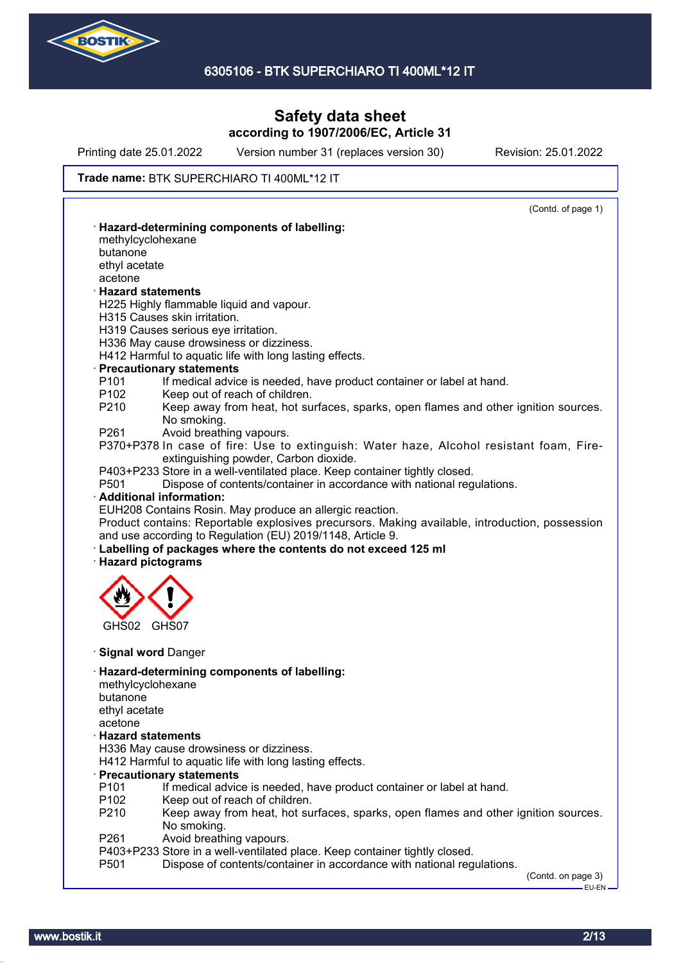

Printing date 25.01.2022 Version number 31 (replaces version 30) Revision: 25.01.2022

#### Trade name: BTK SUPERCHIARO TI 400ML\*12 IT

| methylcyclohexane |                                                                                                                                                      |
|-------------------|------------------------------------------------------------------------------------------------------------------------------------------------------|
|                   | · Hazard-determining components of labelling:                                                                                                        |
| butanone          |                                                                                                                                                      |
| ethyl acetate     |                                                                                                                                                      |
| acetone           |                                                                                                                                                      |
|                   | <b>Hazard statements</b>                                                                                                                             |
|                   | H225 Highly flammable liquid and vapour.                                                                                                             |
|                   | H315 Causes skin irritation.                                                                                                                         |
|                   | H319 Causes serious eye irritation.                                                                                                                  |
|                   | H336 May cause drowsiness or dizziness.                                                                                                              |
|                   | H412 Harmful to aquatic life with long lasting effects.                                                                                              |
|                   | · Precautionary statements                                                                                                                           |
| P <sub>101</sub>  | If medical advice is needed, have product container or label at hand.                                                                                |
| P <sub>102</sub>  | Keep out of reach of children.                                                                                                                       |
| P210              | Keep away from heat, hot surfaces, sparks, open flames and other ignition sources.                                                                   |
|                   | No smoking.                                                                                                                                          |
| P261              | Avoid breathing vapours.                                                                                                                             |
|                   | P370+P378 In case of fire: Use to extinguish: Water haze, Alcohol resistant foam, Fire-<br>extinguishing powder, Carbon dioxide.                     |
|                   | P403+P233 Store in a well-ventilated place. Keep container tightly closed.                                                                           |
| P <sub>501</sub>  | Dispose of contents/container in accordance with national regulations.                                                                               |
|                   | · Additional information:                                                                                                                            |
|                   | EUH208 Contains Rosin. May produce an allergic reaction.                                                                                             |
|                   | Product contains: Reportable explosives precursors. Making available, introduction, possession                                                       |
|                   |                                                                                                                                                      |
|                   |                                                                                                                                                      |
|                   | and use according to Regulation (EU) 2019/1148, Article 9.                                                                                           |
|                   | Labelling of packages where the contents do not exceed 125 ml                                                                                        |
|                   | · Hazard pictograms                                                                                                                                  |
|                   |                                                                                                                                                      |
|                   |                                                                                                                                                      |
|                   |                                                                                                                                                      |
| GHS02             | GHS07                                                                                                                                                |
|                   |                                                                                                                                                      |
|                   | · Signal word Danger                                                                                                                                 |
|                   |                                                                                                                                                      |
|                   | · Hazard-determining components of labelling:                                                                                                        |
| methylcyclohexane |                                                                                                                                                      |
| butanone          |                                                                                                                                                      |
| ethyl acetate     |                                                                                                                                                      |
| acetone           |                                                                                                                                                      |
|                   | <b>Hazard statements</b>                                                                                                                             |
|                   | H336 May cause drowsiness or dizziness.                                                                                                              |
|                   | H412 Harmful to aquatic life with long lasting effects.                                                                                              |
|                   | · Precautionary statements                                                                                                                           |
| P <sub>101</sub>  | If medical advice is needed, have product container or label at hand.                                                                                |
| P102              | Keep out of reach of children.                                                                                                                       |
| P210              | Keep away from heat, hot surfaces, sparks, open flames and other ignition sources.                                                                   |
|                   | No smoking.                                                                                                                                          |
| P261              | Avoid breathing vapours.                                                                                                                             |
| P <sub>501</sub>  | P403+P233 Store in a well-ventilated place. Keep container tightly closed.<br>Dispose of contents/container in accordance with national regulations. |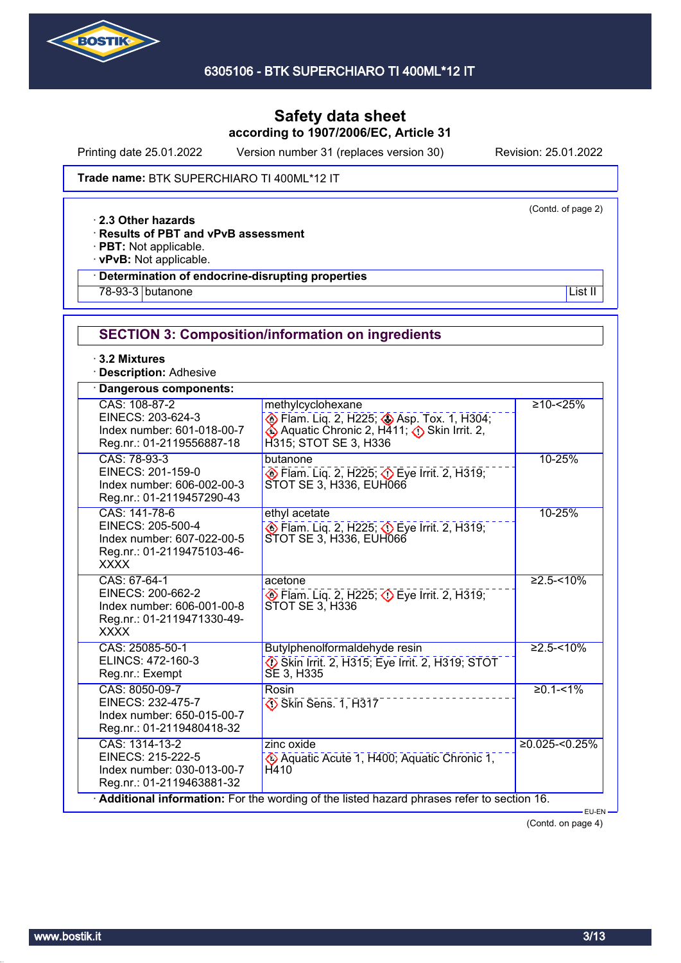

Printing date 25.01.2022 Version number 31 (replaces version 30) Revision: 25.01.2022

(Contd. of page 2)

#### Trade name: BTK SUPERCHIARO TI 400ML\*12 IT

· **2.3 Other hazards**

· **Results of PBT and vPvB assessment**

· **PBT:** Not applicable.

· **vPvB:** Not applicable.

### · **Determination of endocrine-disrupting properties**

<u>78-93-3</u> butanone List II and the List II and the List II and the List II and the List II and the List II and the List II and the List II and the List II and the List II and the List II and the List II and the List II and

# **SECTION 3: Composition/information on ingredients**

· **3.2 Mixtures**

· **Description:** Adhesive

| <b>Dangerous components:</b>                                                                                  |                                                                                                                                     |                |
|---------------------------------------------------------------------------------------------------------------|-------------------------------------------------------------------------------------------------------------------------------------|----------------|
| CAS: 108-87-2<br>EINECS: 203-624-3<br>Index number: 601-018-00-7<br>Reg.nr.: 01-2119556887-18                 | methylcyclohexane<br>Elam. Liq. 2, H225; Asp. Tox. 1, H304;<br>♦ Aquatic Chronic 2, H411; A Skin Irrit. 2,<br>H315; STOT SE 3, H336 | $≥10 - < 25%$  |
| CAS: 78-93-3<br>EINECS: 201-159-0<br>Index number: 606-002-00-3<br>Reg.nr.: 01-2119457290-43                  | butanone<br><b>Example 18 Frame</b> . Liq. 2, H225; $\Diamond$ Eye Irrit. 2, H319;<br>STOT SE 3, H336, EUH066                       | 10-25%         |
| CAS: 141-78-6<br>EINECS: 205-500-4<br>Index number: 607-022-00-5<br>Reg.nr.: 01-2119475103-46-<br><b>XXXX</b> | ethyl acetate<br>Eye Irrit. 2, H225; $\circled{}$ Eye Irrit. 2, H319;<br>STOT SE 3, H336, EUH066                                    | 10-25%         |
| CAS: 67-64-1<br>EINECS: 200-662-2<br>Index number: 606-001-00-8<br>Reg.nr.: 01-2119471330-49-<br><b>XXXX</b>  | acetone<br><b>Example 18 Frame</b> . Liq. 2, H225; $\langle \cdot \rangle$ Eye Irrit. 2, H319;<br>STOT SE 3, H336                   | $≥2.5 - < 10%$ |
| CAS: 25085-50-1<br>ELINCS: 472-160-3<br>Reg.nr.: Exempt                                                       | Butylphenolformaldehyde resin<br>Skin Irrit. 2, H315; Eye Irrit. 2, H319; STOT<br>SE 3, H335                                        | $≥2.5 - < 10%$ |
| CAS: 8050-09-7<br>EINECS: 232-475-7<br>Index number: 650-015-00-7<br>Reg.nr.: 01-2119480418-32                | Rosin<br>Skin Sens. 1, H317                                                                                                         | $≥0.1 - 51%$   |
| CAS: 1314-13-2<br>EINECS: 215-222-5<br>Index number: 030-013-00-7<br>Reg.nr.: 01-2119463881-32                | zinc oxide<br>Aquatic Acute 1, H400; Aquatic Chronic 1,<br>H410                                                                     | ≥0.025 < 0.25% |
|                                                                                                               | Additional information: For the wording of the listed hazard phrases refer to section 16.                                           | EU-EN-         |

(Contd. on page 4)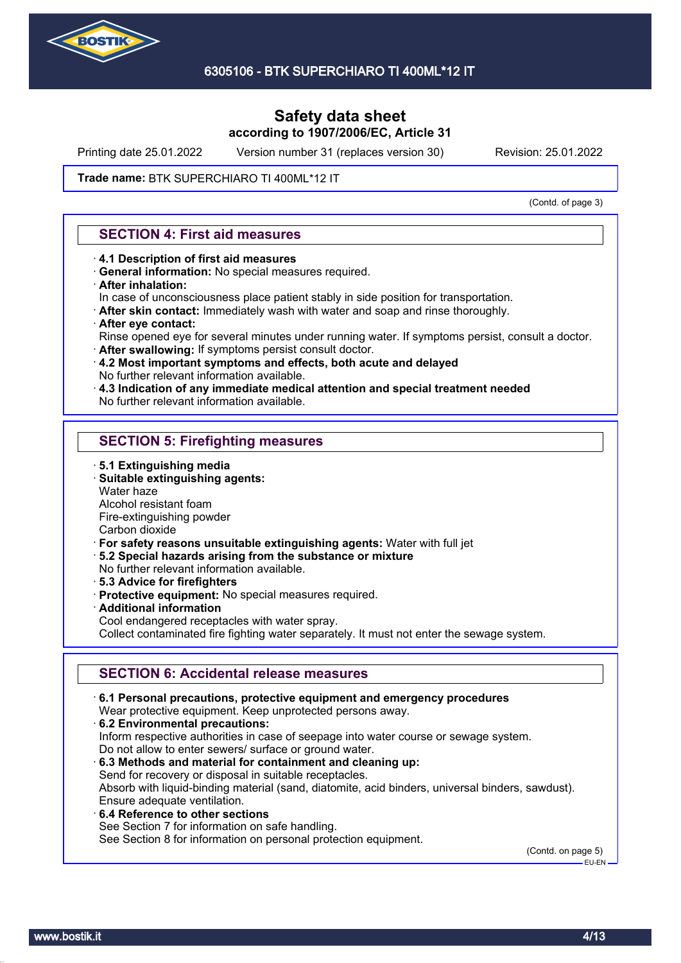

Printing date 25.01.2022 Version number 31 (replaces version 30) Revision: 25.01.2022

#### Trade name: BTK SUPERCHIARO TI 400ML\*12 IT

(Contd. of page 3)

### **SECTION 4: First aid measures**

- · **4.1 Description of first aid measures**
- · **General information:** No special measures required.
- · **After inhalation:**
- In case of unconsciousness place patient stably in side position for transportation.
- · **After skin contact:** Immediately wash with water and soap and rinse thoroughly.
- · **After eye contact:**
- Rinse opened eye for several minutes under running water. If symptoms persist, consult a doctor.
- · **After swallowing:** If symptoms persist consult doctor.
- · **4.2 Most important symptoms and effects, both acute and delayed** No further relevant information available.
- · **4.3 Indication of any immediate medical attention and special treatment needed**
- No further relevant information available.

### **SECTION 5: Firefighting measures**

- · **5.1 Extinguishing media**
- · **Suitable extinguishing agents:**
- Water haze
- Alcohol resistant foam
- Fire-extinguishing powder

Carbon dioxide

- · **For safety reasons unsuitable extinguishing agents:** Water with full jet
- · **5.2 Special hazards arising from the substance or mixture**
- No further relevant information available.
- · **5.3 Advice for firefighters**
- · **Protective equipment:** No special measures required.
- · **Additional information**
- Cool endangered receptacles with water spray.

Collect contaminated fire fighting water separately. It must not enter the sewage system.

# **SECTION 6: Accidental release measures**

· **6.1 Personal precautions, protective equipment and emergency procedures** Wear protective equipment. Keep unprotected persons away. · **6.2 Environmental precautions:** Inform respective authorities in case of seepage into water course or sewage system. Do not allow to enter sewers/ surface or ground water. · **6.3 Methods and material for containment and cleaning up:** Send for recovery or disposal in suitable receptacles. Absorb with liquid-binding material (sand, diatomite, acid binders, universal binders, sawdust). Ensure adequate ventilation. · **6.4 Reference to other sections** See Section 7 for information on safe handling. See Section 8 for information on personal protection equipment.

(Contd. on page 5)

EU-EN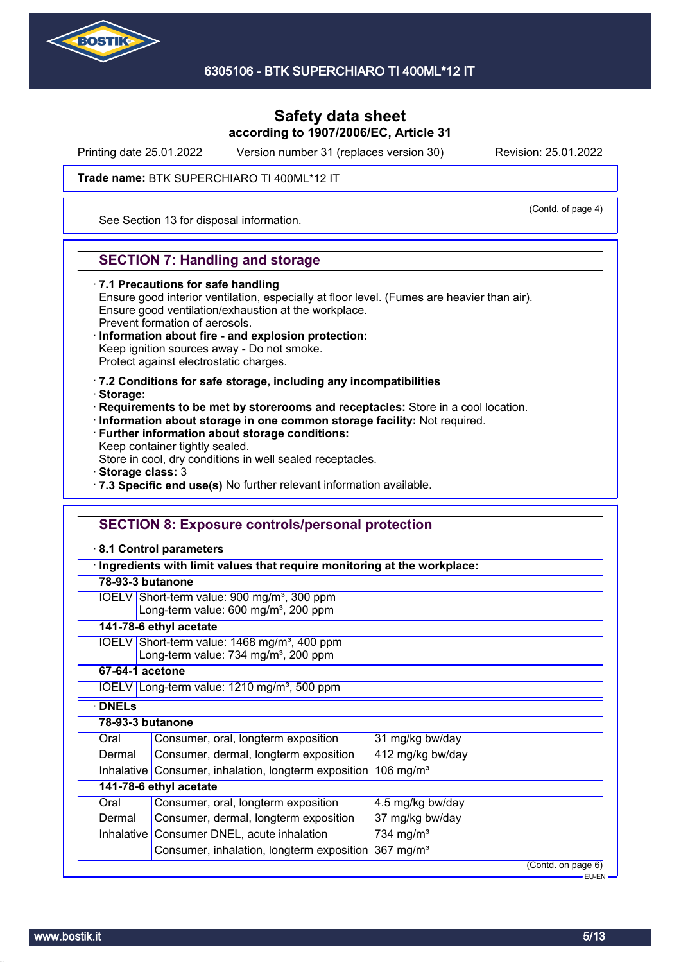

Printing date 25.01.2022 Version number 31 (replaces version 30) Revision: 25.01.2022

(Contd. of page 4)

Trade name: BTK SUPERCHIARO TI 400ML\*12 IT

See Section 13 for disposal information.

### **SECTION 7: Handling and storage**

· **7.1 Precautions for safe handling**

Ensure good interior ventilation, especially at floor level. (Fumes are heavier than air). Ensure good ventilation/exhaustion at the workplace. Prevent formation of aerosols.

- · **Information about fire and explosion protection:** Keep ignition sources away - Do not smoke.
- Protect against electrostatic charges.
- · **7.2 Conditions for safe storage, including any incompatibilities**
- · **Storage:**
- · **Requirements to be met by storerooms and receptacles:** Store in a cool location.
- · **Information about storage in one common storage facility:** Not required.
- · **Further information about storage conditions:**
- Keep container tightly sealed.

Store in cool, dry conditions in well sealed receptacles.

- · **Storage class:** 3
- · **7.3 Specific end use(s)** No further relevant information available.

### **SECTION 8: Exposure controls/personal protection**

#### · **8.1 Control parameters**

|                  | Ingredients with limit values that require monitoring at the workplace:                                      |                    |  |  |  |
|------------------|--------------------------------------------------------------------------------------------------------------|--------------------|--|--|--|
| 78-93-3 butanone |                                                                                                              |                    |  |  |  |
|                  | IOELV Short-term value: 900 mg/m <sup>3</sup> , 300 ppm<br>Long-term value: 600 mg/m <sup>3</sup> , 200 ppm  |                    |  |  |  |
|                  | 141-78-6 ethyl acetate                                                                                       |                    |  |  |  |
|                  | IOELV Short-term value: 1468 mg/m <sup>3</sup> , 400 ppm<br>Long-term value: 734 mg/m <sup>3</sup> , 200 ppm |                    |  |  |  |
| 67-64-1 acetone  |                                                                                                              |                    |  |  |  |
|                  | IOELV Long-term value: $1210$ mg/m <sup>3</sup> , 500 ppm                                                    |                    |  |  |  |
| <b>DNELS</b>     |                                                                                                              |                    |  |  |  |
| 78-93-3 butanone |                                                                                                              |                    |  |  |  |
| Oral             | Consumer, oral, longterm exposition                                                                          | 31 mg/kg bw/day    |  |  |  |
| Dermal           | Consumer, dermal, longterm exposition                                                                        | 412 mg/kg bw/day   |  |  |  |
| Inhalative       | 106 mg/m <sup>3</sup><br>Consumer, inhalation, longterm exposition                                           |                    |  |  |  |
|                  | 141-78-6 ethyl acetate                                                                                       |                    |  |  |  |
| Oral             | Consumer, oral, longterm exposition<br>4.5 mg/kg bw/day                                                      |                    |  |  |  |
| Dermal           | 37 mg/kg bw/day<br>Consumer, dermal, longterm exposition                                                     |                    |  |  |  |
|                  | Inhalative Consumer DNEL, acute inhalation<br>734 mg/m <sup>3</sup>                                          |                    |  |  |  |
|                  | 367 mg/ $m3$<br>Consumer, inhalation, longterm exposition                                                    |                    |  |  |  |
|                  |                                                                                                              | (Contd. on page 6) |  |  |  |
|                  |                                                                                                              | EU-EN-             |  |  |  |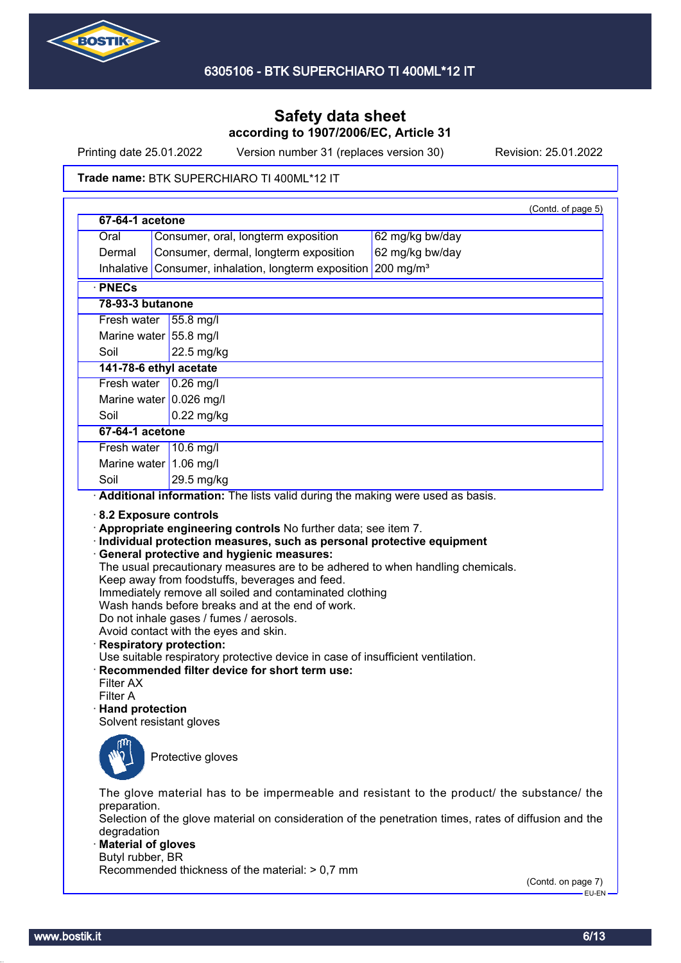

Printing date 25.01.2022 Version number 31 (replaces version 30) Revision: 25.01.2022

#### Trade name: BTK SUPERCHIARO TI 400ML\*12 IT

| 67-64-1 acetone                                              |                                                                                                                                                                                                                                                                                                            | (Contd. of page 5)    |
|--------------------------------------------------------------|------------------------------------------------------------------------------------------------------------------------------------------------------------------------------------------------------------------------------------------------------------------------------------------------------------|-----------------------|
| Oral                                                         | Consumer, oral, longterm exposition                                                                                                                                                                                                                                                                        | 62 mg/kg bw/day       |
| Dermal                                                       | Consumer, dermal, longterm exposition                                                                                                                                                                                                                                                                      | 62 mg/kg bw/day       |
|                                                              | Inhalative Consumer, inhalation, longterm exposition                                                                                                                                                                                                                                                       | 200 mg/m <sup>3</sup> |
| · PNECs                                                      |                                                                                                                                                                                                                                                                                                            |                       |
| 78-93-3 butanone                                             |                                                                                                                                                                                                                                                                                                            |                       |
| Fresh water                                                  | 55.8 mg/l                                                                                                                                                                                                                                                                                                  |                       |
|                                                              | Marine water 55.8 mg/l                                                                                                                                                                                                                                                                                     |                       |
| Soil<br>22.5 mg/kg                                           |                                                                                                                                                                                                                                                                                                            |                       |
|                                                              | 141-78-6 ethyl acetate                                                                                                                                                                                                                                                                                     |                       |
|                                                              | Fresh water 0.26 mg/l                                                                                                                                                                                                                                                                                      |                       |
|                                                              | Marine water $0.026$ mg/l                                                                                                                                                                                                                                                                                  |                       |
| Soil                                                         | $0.22$ mg/kg                                                                                                                                                                                                                                                                                               |                       |
| 67-64-1 acetone                                              |                                                                                                                                                                                                                                                                                                            |                       |
| Fresh water                                                  | $10.6$ mg/l                                                                                                                                                                                                                                                                                                |                       |
|                                                              | Marine water 1.06 mg/l                                                                                                                                                                                                                                                                                     |                       |
| Soil                                                         | 29.5 mg/kg                                                                                                                                                                                                                                                                                                 |                       |
| Filter AX<br>Filter A<br>$\cdot$ Hand protection             | Wash hands before breaks and at the end of work.<br>Do not inhale gases / fumes / aerosols.<br>Avoid contact with the eyes and skin.<br><b>Respiratory protection:</b><br>Use suitable respiratory protective device in case of insufficient ventilation.<br>Recommended filter device for short term use: |                       |
| preparation.                                                 | Solvent resistant gloves<br>Protective gloves<br>The glove material has to be impermeable and resistant to the product/ the substance/ the                                                                                                                                                                 |                       |
| degradation<br><b>Material of gloves</b><br>Butyl rubber, BR | Selection of the glove material on consideration of the penetration times, rates of diffusion and the<br>Recommended thickness of the material: > 0,7 mm                                                                                                                                                   |                       |

(Contd. on page 7)  $-EU-EN$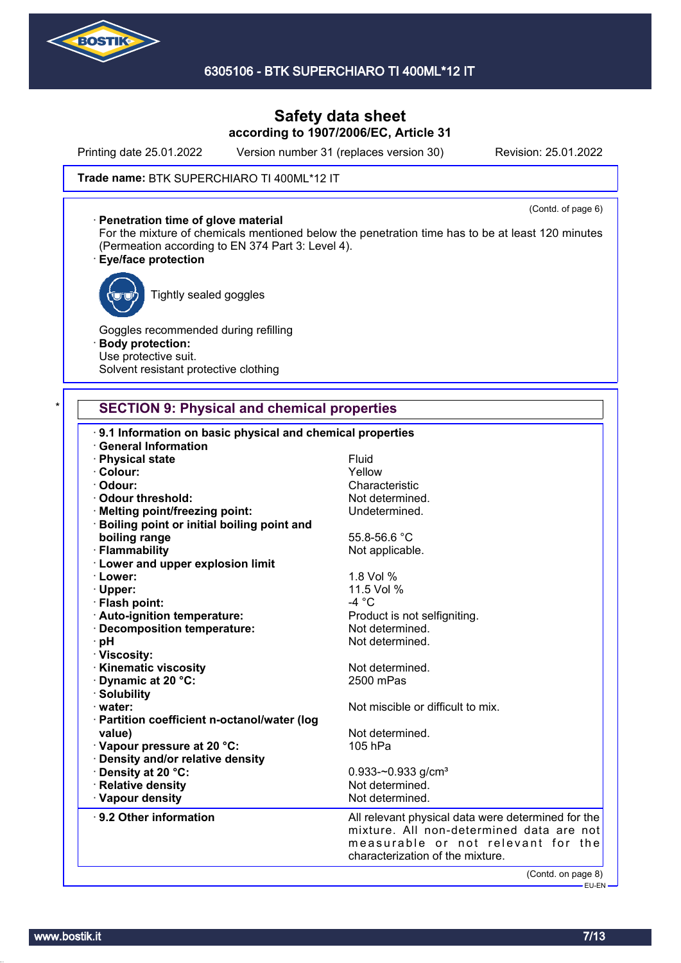

Printing date 25.01.2022 Version number 31 (replaces version 30) Revision: 25.01.2022

#### Trade name: BTK SUPERCHIARO TI 400ML\*12 IT

· **Penetration time of glove material** For the mixture of chemicals mentioned below the penetration time has to be at least 120 minutes (Permeation according to EN 374 Part 3: Level 4).

### · **Eye/face protection**



Tightly sealed goggles

Goggles recommended during refilling · **Body protection:** Use protective suit. Solvent resistant protective clothing

### **SECTION 9: Physical and chemical properties**

| 9.1 Information on basic physical and chemical properties<br><b>General Information</b> |                                                                                                                                                                          |
|-----------------------------------------------------------------------------------------|--------------------------------------------------------------------------------------------------------------------------------------------------------------------------|
| · Physical state                                                                        | Fluid                                                                                                                                                                    |
| · Colour:                                                                               | Yellow                                                                                                                                                                   |
| · Odour:                                                                                | Characteristic                                                                                                                                                           |
| Odour threshold:                                                                        | Not determined.                                                                                                                                                          |
| · Melting point/freezing point:                                                         | Undetermined.                                                                                                                                                            |
| <b>Boiling point or initial boiling point and</b>                                       |                                                                                                                                                                          |
| boiling range                                                                           | 55.8-56.6 °C                                                                                                                                                             |
| · Flammability                                                                          |                                                                                                                                                                          |
|                                                                                         | Not applicable.                                                                                                                                                          |
| <b>Lower and upper explosion limit</b><br>· Lower:                                      | 1.8 Vol %                                                                                                                                                                |
|                                                                                         | 11.5 Vol %                                                                                                                                                               |
| · Upper:                                                                                | $-4 °C$                                                                                                                                                                  |
| · Flash point:                                                                          |                                                                                                                                                                          |
| · Auto-ignition temperature:                                                            | Product is not selfigniting.                                                                                                                                             |
| · Decomposition temperature:                                                            | Not determined.                                                                                                                                                          |
| · pH                                                                                    | Not determined.                                                                                                                                                          |
| · Viscosity:                                                                            |                                                                                                                                                                          |
| <b>Kinematic viscosity</b>                                                              | Not determined.                                                                                                                                                          |
| Dynamic at 20 °C:                                                                       | 2500 mPas                                                                                                                                                                |
| · Solubility                                                                            |                                                                                                                                                                          |
| $\cdot$ water:                                                                          | Not miscible or difficult to mix.                                                                                                                                        |
| · Partition coefficient n-octanol/water (log                                            |                                                                                                                                                                          |
| value)                                                                                  | Not determined.                                                                                                                                                          |
| Vapour pressure at 20 °C:                                                               | 105 hPa                                                                                                                                                                  |
| Density and/or relative density                                                         |                                                                                                                                                                          |
| · Density at 20 °C:                                                                     | 0.933-~0.933 g/cm <sup>3</sup>                                                                                                                                           |
| · Relative density                                                                      | Not determined.                                                                                                                                                          |
| · Vapour density                                                                        | Not determined.                                                                                                                                                          |
| ⋅ 9.2 Other information                                                                 | All relevant physical data were determined for the<br>mixture. All non-determined data are not<br>measurable or not relevant for the<br>characterization of the mixture. |
|                                                                                         | (Contd. on page 8)<br><b>CULCN</b>                                                                                                                                       |

(Contd. of page 6)

EU-EN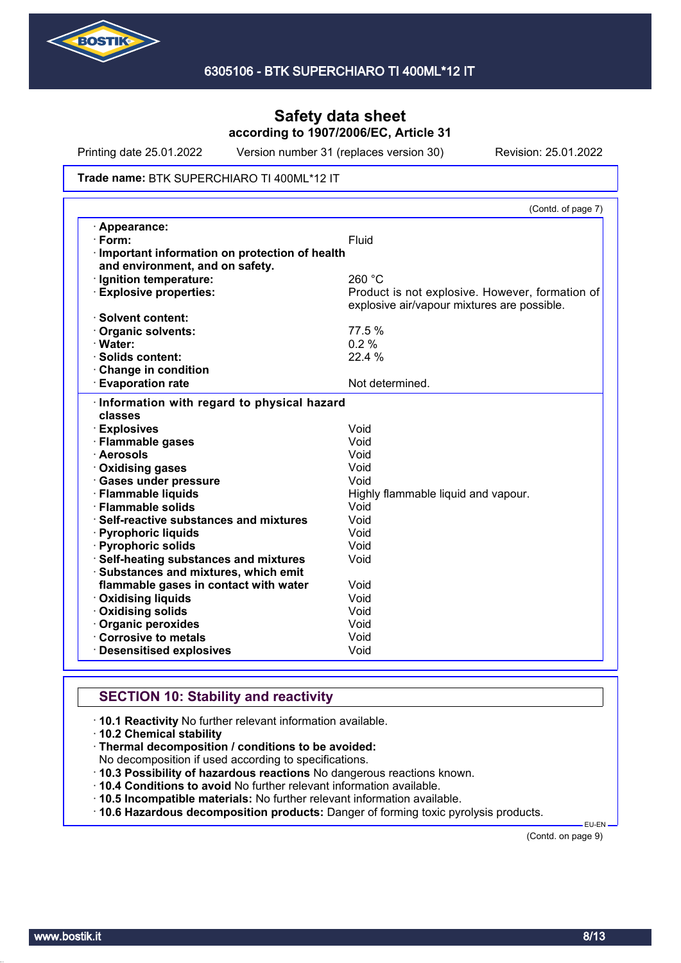

Printing date 25.01.2022 Version number 31 (replaces version 30) Revision: 25.01.2022

#### Trade name: BTK SUPERCHIARO TI 400ML\*12 IT

|                                                       | (Contd. of page 7)                              |
|-------------------------------------------------------|-------------------------------------------------|
| · Appearance:                                         |                                                 |
| $\cdot$ Form:                                         | Fluid                                           |
| Important information on protection of health         |                                                 |
| and environment, and on safety.                       |                                                 |
| · Ignition temperature:                               | 260 °C                                          |
| <b>Explosive properties:</b>                          | Product is not explosive. However, formation of |
|                                                       | explosive air/vapour mixtures are possible.     |
| · Solvent content:                                    |                                                 |
| <b>Organic solvents:</b>                              | 77.5 %                                          |
| · Water:                                              | 0.2%                                            |
| · Solids content:                                     | 22.4 %                                          |
| Change in condition                                   |                                                 |
| <b>Evaporation rate</b>                               | Not determined.                                 |
| · Explosives                                          | Void<br>Void                                    |
| Information with regard to physical hazard<br>classes |                                                 |
| · Flammable gases                                     |                                                 |
| · Aerosols                                            | Void                                            |
| Oxidising gases                                       | Void                                            |
| <b>Gases under pressure</b>                           | Void                                            |
| · Flammable liquids                                   | Highly flammable liquid and vapour.             |
| · Flammable solids                                    | Void                                            |
| $\cdot$ Self-reactive substances and mixtures         | Void                                            |
| · Pyrophoric liquids                                  | Void                                            |
| · Pyrophoric solids                                   | Void                                            |
| <b>Self-heating substances and mixtures</b>           | Void                                            |
| Substances and mixtures, which emit                   |                                                 |
| flammable gases in contact with water                 | Void                                            |
| <b>Oxidising liquids</b>                              | Void                                            |
|                                                       |                                                 |
| Oxidising solids                                      | Void                                            |
|                                                       | Void                                            |
| Organic peroxides<br>Corrosive to metals              | Void                                            |

# **SECTION 10: Stability and reactivity**

- · **10.1 Reactivity** No further relevant information available.
- · **10.2 Chemical stability**
- · **Thermal decomposition / conditions to be avoided:**

No decomposition if used according to specifications.

- · **10.3 Possibility of hazardous reactions** No dangerous reactions known.
- · **10.4 Conditions to avoid** No further relevant information available.
- · **10.5 Incompatible materials:** No further relevant information available.
- · **10.6 Hazardous decomposition products:** Danger of forming toxic pyrolysis products.

(Contd. on page 9)

EU-EN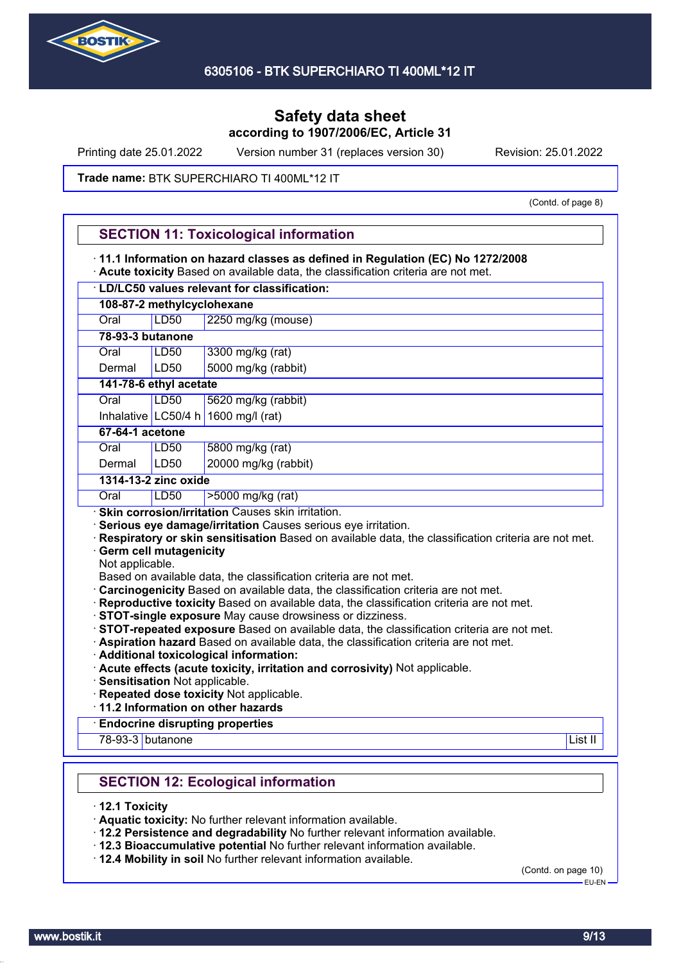

Printing date 25.01.2022 Version number 31 (replaces version 30) Revision: 25.01.2022

#### Trade name: BTK SUPERCHIARO TI 400ML\*12 IT

(Contd. of page 8)

|                  | 11.1 Information on hazard classes as defined in Regulation (EC) No 1272/2008 | · Acute toxicity Based on available data, the classification criteria are not met.                                                                                                                                                                                                                                                                                                                                                                     |
|------------------|-------------------------------------------------------------------------------|--------------------------------------------------------------------------------------------------------------------------------------------------------------------------------------------------------------------------------------------------------------------------------------------------------------------------------------------------------------------------------------------------------------------------------------------------------|
|                  |                                                                               | · LD/LC50 values relevant for classification:                                                                                                                                                                                                                                                                                                                                                                                                          |
|                  | 108-87-2 methylcyclohexane                                                    |                                                                                                                                                                                                                                                                                                                                                                                                                                                        |
| Oral             | LD50                                                                          | 2250 mg/kg (mouse)                                                                                                                                                                                                                                                                                                                                                                                                                                     |
| 78-93-3 butanone |                                                                               |                                                                                                                                                                                                                                                                                                                                                                                                                                                        |
| Oral             | <b>LD50</b>                                                                   | 3300 mg/kg (rat)                                                                                                                                                                                                                                                                                                                                                                                                                                       |
| Dermal           | LD50                                                                          | 5000 mg/kg (rabbit)                                                                                                                                                                                                                                                                                                                                                                                                                                    |
|                  | 141-78-6 ethyl acetate                                                        |                                                                                                                                                                                                                                                                                                                                                                                                                                                        |
| Oral             | <b>LD50</b>                                                                   | 5620 mg/kg (rabbit)                                                                                                                                                                                                                                                                                                                                                                                                                                    |
|                  |                                                                               | Inhalative LC50/4 h 1600 mg/l (rat)                                                                                                                                                                                                                                                                                                                                                                                                                    |
| 67-64-1 acetone  |                                                                               |                                                                                                                                                                                                                                                                                                                                                                                                                                                        |
| Oral             | LD <sub>50</sub>                                                              | 5800 mg/kg (rat)                                                                                                                                                                                                                                                                                                                                                                                                                                       |
| Dermal           | LD50                                                                          | 20000 mg/kg (rabbit)                                                                                                                                                                                                                                                                                                                                                                                                                                   |
|                  | 1314-13-2 zinc oxide                                                          |                                                                                                                                                                                                                                                                                                                                                                                                                                                        |
| Oral             | LD50                                                                          | >5000 mg/kg (rat)                                                                                                                                                                                                                                                                                                                                                                                                                                      |
| Not applicable.  | <b>Germ cell mutagenicity</b>                                                 | Serious eye damage/irritation Causes serious eye irritation.<br>Respiratory or skin sensitisation Based on available data, the classification criteria are not met.<br>Based on available data, the classification criteria are not met.<br>Carcinogenicity Based on available data, the classification criteria are not met.<br>Reproductive toxicity Based on available data, the classification criteria are not met.                               |
|                  | Sensitisation Not applicable.                                                 | STOT-single exposure May cause drowsiness or dizziness.<br>STOT-repeated exposure Based on available data, the classification criteria are not met.<br>· Aspiration hazard Based on available data, the classification criteria are not met.<br>· Additional toxicological information:<br>· Acute effects (acute toxicity, irritation and corrosivity) Not applicable.<br>Repeated dose toxicity Not applicable.<br>11.2 Information on other hazards |
|                  |                                                                               | <b>Endocrine disrupting properties</b>                                                                                                                                                                                                                                                                                                                                                                                                                 |
| 78-93-3 butanone |                                                                               | List II                                                                                                                                                                                                                                                                                                                                                                                                                                                |
|                  |                                                                               | <b>SECTION 12: Ecological information</b>                                                                                                                                                                                                                                                                                                                                                                                                              |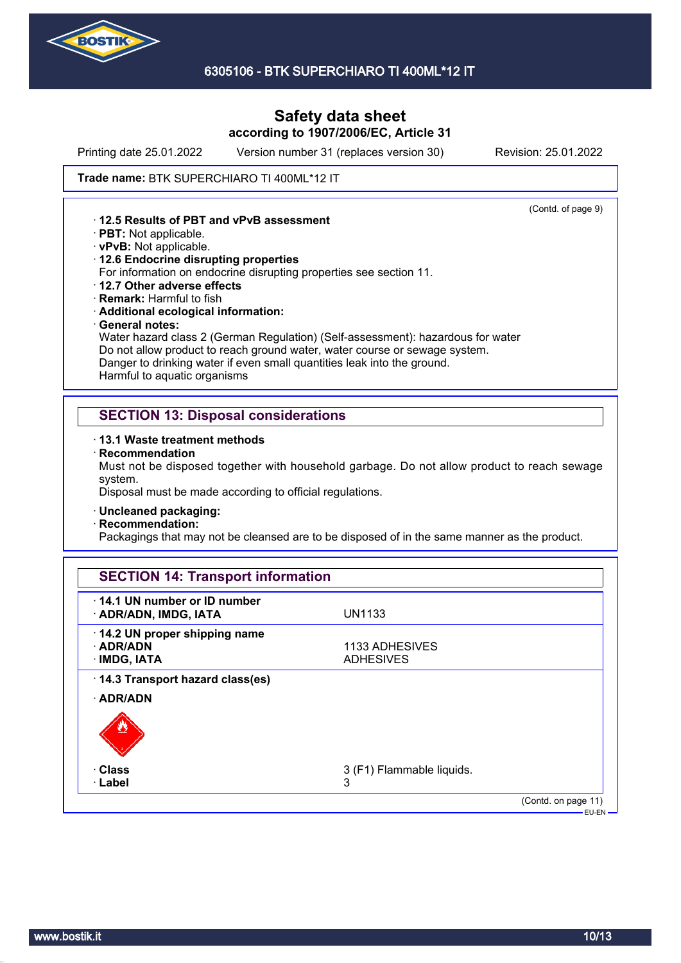

Printing date 25.01.2022 Version number 31 (replaces version 30) Revision: 25.01.2022

(Contd. of page 9)

#### Trade name: BTK SUPERCHIARO TI 400ML\*12 IT

· **12.5 Results of PBT and vPvB assessment**

- · **PBT:** Not applicable.
- · **vPvB:** Not applicable.
- · **12.6 Endocrine disrupting properties**

For information on endocrine disrupting properties see section 11.

- · **12.7 Other adverse effects**
- · **Remark:** Harmful to fish
- · **Additional ecological information:**
- · **General notes:**

Water hazard class 2 (German Regulation) (Self-assessment): hazardous for water Do not allow product to reach ground water, water course or sewage system. Danger to drinking water if even small quantities leak into the ground. Harmful to aquatic organisms

### **SECTION 13: Disposal considerations**

- · **13.1 Waste treatment methods**
- · **Recommendation**

Must not be disposed together with household garbage. Do not allow product to reach sewage system.

Disposal must be made according to official regulations.

- · **Uncleaned packaging:**
- · **Recommendation:**

Packagings that may not be cleansed are to be disposed of in the same manner as the product.

| 14.1 UN number or ID number<br>· ADR/ADN, IMDG, IATA | UN1133                    |  |
|------------------------------------------------------|---------------------------|--|
| 14.2 UN proper shipping name                         |                           |  |
| $\cdot$ ADR/ADN                                      | 1133 ADHESIVES            |  |
| · IMDG, IATA                                         | <b>ADHESIVES</b>          |  |
| · ADR/ADN                                            |                           |  |
| · Class                                              | 3 (F1) Flammable liquids. |  |
| · Label                                              | 3                         |  |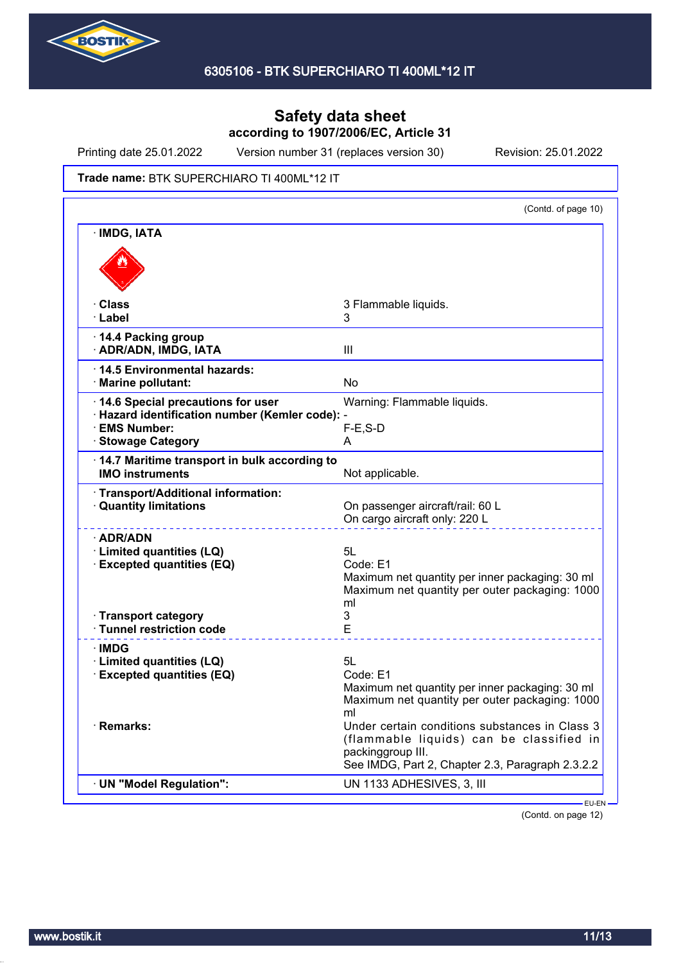

Printing date 25.01.2022 Version number 31 (replaces version 30) Revision: 25.01.2022

#### Trade name: BTK SUPERCHIARO TI 400ML\*12 IT

|                                                                                                                             | (Contd. of page 10)                                                                                                                                                 |
|-----------------------------------------------------------------------------------------------------------------------------|---------------------------------------------------------------------------------------------------------------------------------------------------------------------|
| · IMDG, IATA                                                                                                                |                                                                                                                                                                     |
|                                                                                                                             |                                                                                                                                                                     |
| · Class<br>· Label                                                                                                          | 3 Flammable liquids.<br>3                                                                                                                                           |
| 14.4 Packing group<br>· ADR/ADN, IMDG, IATA                                                                                 | III                                                                                                                                                                 |
| ⋅14.5 Environmental hazards:<br>· Marine pollutant:                                                                         | No                                                                                                                                                                  |
| 14.6 Special precautions for user<br>· Hazard identification number (Kemler code): -<br>· EMS Number:<br>· Stowage Category | Warning: Flammable liquids.<br>$F-E$ , S-D<br>A                                                                                                                     |
| 14.7 Maritime transport in bulk according to<br><b>IMO instruments</b>                                                      | Not applicable.                                                                                                                                                     |
| · Transport/Additional information:<br><b>Quantity limitations</b>                                                          | On passenger aircraft/rail: 60 L<br>On cargo aircraft only: 220 L                                                                                                   |
| · ADR/ADN<br>· Limited quantities (LQ)<br><b>Excepted quantities (EQ)</b>                                                   | 5L<br>Code: E1<br>Maximum net quantity per inner packaging: 30 ml<br>Maximum net quantity per outer packaging: 1000<br>ml                                           |
| · Transport category<br>· Tunnel restriction code                                                                           | 3<br>E                                                                                                                                                              |
| <b>IMDG</b><br>· Limited quantities (LQ)<br><b>Excepted quantities (EQ)</b>                                                 | 5L<br>Code: E1<br>Maximum net quantity per inner packaging: 30 ml<br>Maximum net quantity per outer packaging: 1000<br>ml                                           |
| · Remarks:                                                                                                                  | Under certain conditions substances in Class 3<br>(flammable liquids) can be classified in<br>packinggroup III.<br>See IMDG, Part 2, Chapter 2.3, Paragraph 2.3.2.2 |
|                                                                                                                             |                                                                                                                                                                     |

(Contd. on page 12)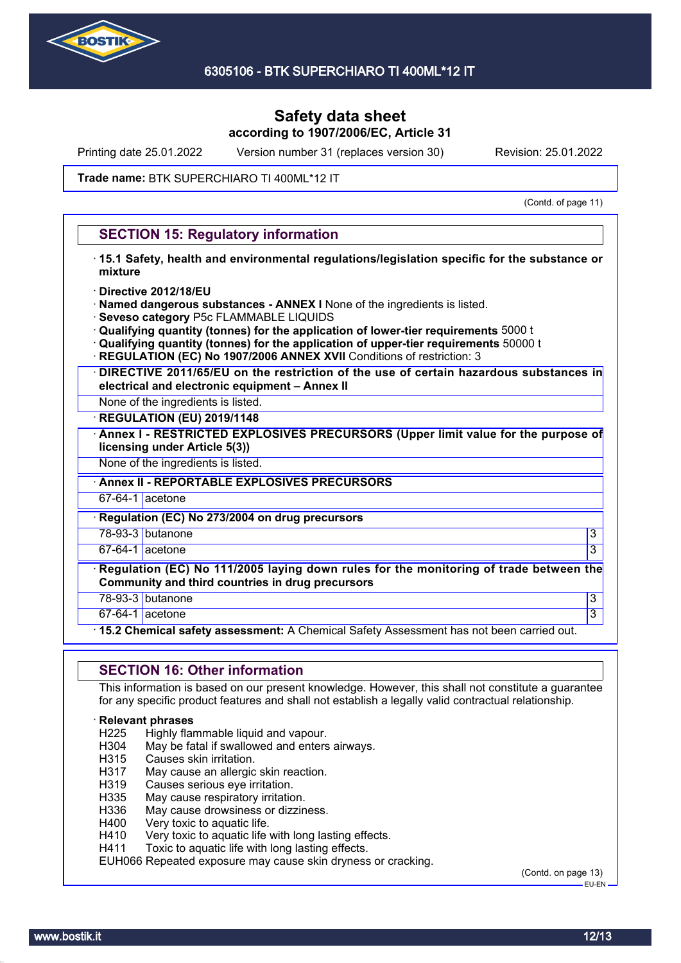

Printing date 25.01.2022 Version number 31 (replaces version 30) Revision: 25.01.2022

#### Trade name: BTK SUPERCHIARO TI 400ML\*12 IT

(Contd. of page 11)

### **SECTION 15: Regulatory information**

- · **15.1 Safety, health and environmental regulations/legislation specific for the substance or mixture**
- · **Directive 2012/18/EU**
- · **Named dangerous substances ANNEX I** None of the ingredients is listed.
- · **Seveso category** P5c FLAMMABLE LIQUIDS
- · **Qualifying quantity (tonnes) for the application of lower-tier requirements** 5000 t
- · **Qualifying quantity (tonnes) for the application of upper-tier requirements** 50000 t
- **REGULATION (EC) No 1907/2006 ANNEX XVII** Conditions of restriction: 3
- · **DIRECTIVE 2011/65/EU on the restriction of the use of certain hazardous substances in electrical and electronic equipment – Annex II**
- None of the ingredients is listed.
- · **REGULATION (EU) 2019/1148**
- · **Annex I RESTRICTED EXPLOSIVES PRECURSORS (Upper limit value for the purpose of licensing under Article 5(3))**
- None of the ingredients is listed.
- · **Annex II REPORTABLE EXPLOSIVES PRECURSORS**
- 67-64-1 acetone
- · **Regulation (EC) No 273/2004 on drug precursors**
- 78-93-3 butanone 3
- $67-64-1$  acetone  $\hspace{1.5cm}$  3
- · **Regulation (EC) No 111/2005 laying down rules for the monitoring of trade between the Community and third countries in drug precursors**
- 78-93-3 butanone 3
- 67-64-1 acetone 3
- · **15.2 Chemical safety assessment:** A Chemical Safety Assessment has not been carried out.

### **SECTION 16: Other information**

This information is based on our present knowledge. However, this shall not constitute a guarantee for any specific product features and shall not establish a legally valid contractual relationship.

#### · **Relevant phrases**

- H225 Highly flammable liquid and vapour.<br>H304 May be fatal if swallowed and enters
- H304 May be fatal if swallowed and enters airways.<br>H315 Causes skin irritation.
- Causes skin irritation.
- H317 May cause an allergic skin reaction.
- H319 Causes serious eye irritation.
- H335 May cause respiratory irritation.
- H336 May cause drowsiness or dizziness.
- H400 Very toxic to aquatic life.
- H410 Very toxic to aquatic life with long lasting effects.
- H411 Toxic to aquatic life with long lasting effects.

EUH066 Repeated exposure may cause skin dryness or cracking.

(Contd. on page 13)